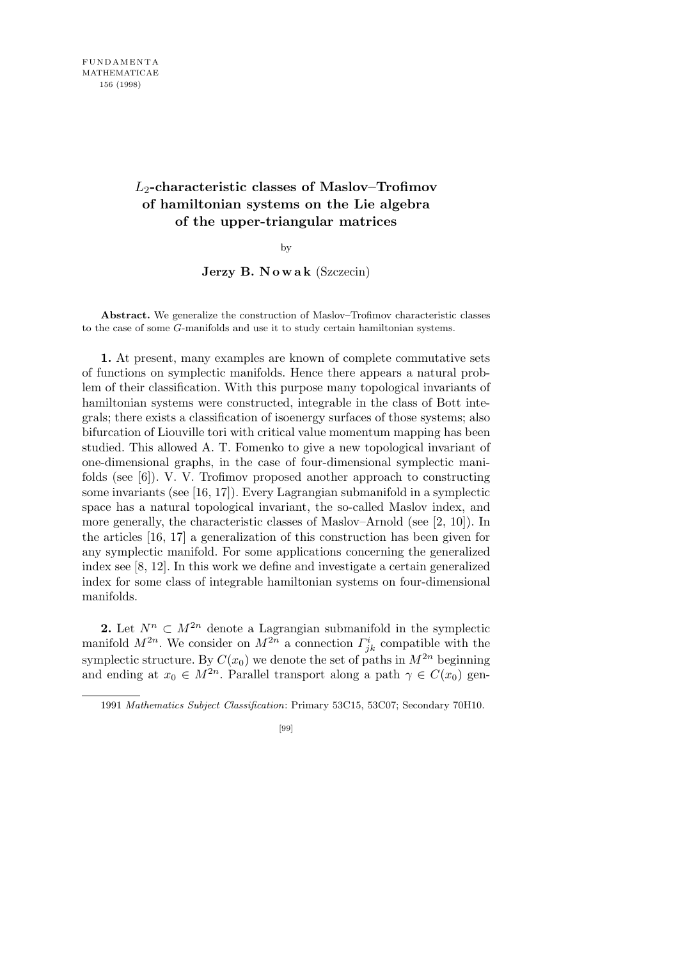## *L*2**-characteristic classes of Maslov–Trofimov of hamiltonian systems on the Lie algebra of the upper-triangular matrices**

by

**Jerzy B. N o w a k** (Szczecin)

**Abstract.** We generalize the construction of Maslov–Trofimov characteristic classes to the case of some *G*-manifolds and use it to study certain hamiltonian systems.

**1.** At present, many examples are known of complete commutative sets of functions on symplectic manifolds. Hence there appears a natural problem of their classification. With this purpose many topological invariants of hamiltonian systems were constructed, integrable in the class of Bott integrals; there exists a classification of isoenergy surfaces of those systems; also bifurcation of Liouville tori with critical value momentum mapping has been studied. This allowed A. T. Fomenko to give a new topological invariant of one-dimensional graphs, in the case of four-dimensional symplectic manifolds (see [6]). V. V. Trofimov proposed another approach to constructing some invariants (see [16, 17]). Every Lagrangian submanifold in a symplectic space has a natural topological invariant, the so-called Maslov index, and more generally, the characteristic classes of Maslov–Arnold (see [2, 10]). In the articles [16, 17] a generalization of this construction has been given for any symplectic manifold. For some applications concerning the generalized index see [8, 12]. In this work we define and investigate a certain generalized index for some class of integrable hamiltonian systems on four-dimensional manifolds.

**2.** Let  $N^n \subset M^{2n}$  denote a Lagrangian submanifold in the symplectic manifold  $M^{2n}$ . We consider on  $M^{2n}$  a connection  $\Gamma^i_{jk}$  compatible with the symplectic structure. By  $C(x_0)$  we denote the set of paths in  $M^{2n}$  beginning and ending at  $x_0 \in M^{2n}$ . Parallel transport along a path  $\gamma \in C(x_0)$  gen-

<sup>1991</sup> *Mathematics Subject Classification*: Primary 53C15, 53C07; Secondary 70H10.

<sup>[99]</sup>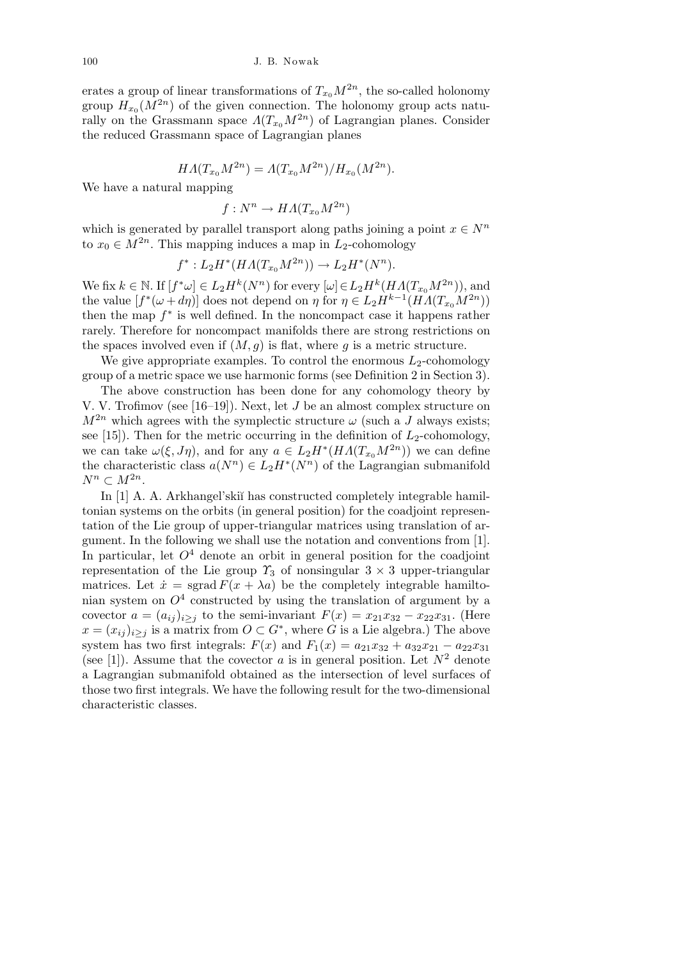erates a group of linear transformations of  $T_{x_0}M^{2n}$ , the so-called holonomy group  $H_{x_0}(M^{2n})$  of the given connection. The holonomy group acts naturally on the Grassmann space  $\Lambda(T_{x_0}M^{2n})$  of Lagrangian planes. Consider the reduced Grassmann space of Lagrangian planes

$$
H\Lambda(T_{x_0}M^{2n}) = \Lambda(T_{x_0}M^{2n})/H_{x_0}(M^{2n}).
$$

We have a natural mapping

$$
f: N^n \to H\Lambda(T_{x_0}M^{2n})
$$

which is generated by parallel transport along paths joining a point  $x \in N^n$ to  $x_0 \in M^{2n}$ . This mapping induces a map in  $L_2$ -cohomology

$$
f^*: L_2H^*(HA(T_{x_0}M^{2n})) \to L_2H^*(N^n).
$$

We fix  $k \in \mathbb{N}$ . If  $[f^*\omega] \in L_2H^k(N^n)$  for every  $[\omega] \in L_2H^k(HA(T_{x_0}M^{2n}))$ , and the value  $[f^*(\omega + d\eta)]$  does not depend on  $\eta$  for  $\eta \in L_2 H^{k-1}(H\Lambda(T_{x_0}M^{2n}))$ then the map *f ∗* is well defined. In the noncompact case it happens rather rarely. Therefore for noncompact manifolds there are strong restrictions on the spaces involved even if  $(M, g)$  is flat, where g is a metric structure.

We give appropriate examples. To control the enormous  $L_2$ -cohomology group of a metric space we use harmonic forms (see Definition 2 in Section 3).

The above construction has been done for any cohomology theory by V. V. Trofimov (see [16–19]). Next, let *J* be an almost complex structure on  $M^{2n}$  which agrees with the symplectic structure  $\omega$  (such a *J* always exists; see  $[15]$ ). Then for the metric occurring in the definition of  $L_2$ -cohomology, we can take  $\omega(\xi, J\eta)$ , and for any  $a \in L_2H^*(H\Lambda(T_{x_0}M^{2n}))$  we can define the characteristic class  $a(N^n) \in L_2H^*(N^n)$  of the Lagrangian submanifold  $N^n \subset M^{2n}$ .

In [1] A. A. Arkhangel'skiı̆ has constructed completely integrable hamiltonian systems on the orbits (in general position) for the coadjoint representation of the Lie group of upper-triangular matrices using translation of argument. In the following we shall use the notation and conventions from [1]. In particular, let  $O<sup>4</sup>$  denote an orbit in general position for the coadjoint representation of the Lie group  $\gamma_3$  of nonsingular  $3 \times 3$  upper-triangular matrices. Let  $\dot{x} =$  sgrad  $F(x + \lambda a)$  be the completely integrable hamiltonian system on  $O<sup>4</sup>$  constructed by using the translation of argument by a covector  $a = (a_{ij})_{i \geq j}$  to the semi-invariant  $F(x) = x_{21}x_{32} - x_{22}x_{31}$ . (Here  $x = (x_{ij})_{i \geq j}$  is a matrix from  $O \subset G^*$ , where *G* is a Lie algebra.) The above system has two first integrals:  $F(x)$  and  $F_1(x) = a_{21}x_{32} + a_{32}x_{21} - a_{22}x_{31}$ (see [1]). Assume that the covector *a* is in general position. Let  $N^2$  denote a Lagrangian submanifold obtained as the intersection of level surfaces of those two first integrals. We have the following result for the two-dimensional characteristic classes.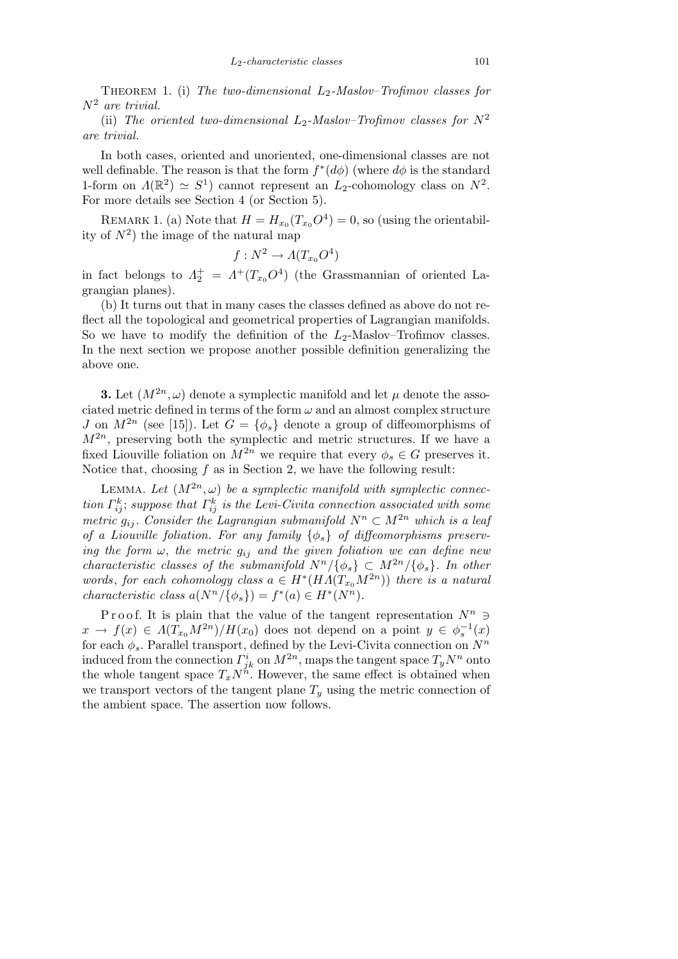Theorem 1. (i) *The two-dimensional L*2*-Maslov–Trofimov classes for N*<sup>2</sup> *are trivial.*

(ii) The oriented two-dimensional  $L_2$ -Maslov–Trofimov classes for  $N^2$ *are trivial.*

In both cases, oriented and unoriented, one-dimensional classes are not well definable. The reason is that the form  $f^*(d\phi)$  (where  $d\phi$  is the standard 1-form on  $\Lambda(\mathbb{R}^2) \simeq S^1$ ) cannot represent an  $L_2$ -cohomology class on  $N^2$ . For more details see Section 4 (or Section 5).

REMARK 1. (a) Note that  $H = H_{x_0}(T_{x_0}O^4) = 0$ , so (using the orientability of  $N^2$ ) the image of the natural map

$$
f:N^2\to A(T_{x_0}O^4)
$$

in fact belongs to  $\Lambda_2^+ = \Lambda^+ (T_{x_0} O^4)$  (the Grassmannian of oriented Lagrangian planes).

(b) It turns out that in many cases the classes defined as above do not reflect all the topological and geometrical properties of Lagrangian manifolds. So we have to modify the definition of the  $L_2$ -Maslov–Trofimov classes. In the next section we propose another possible definition generalizing the above one.

**3.** Let  $(M^{2n}, \omega)$  denote a symplectic manifold and let  $\mu$  denote the associated metric defined in terms of the form  $\omega$  and an almost complex structure *J* on  $M^{2n}$  (see [15]). Let  $G = {\phi_s}$  denote a group of diffeomorphisms of  $M^{2n}$ , preserving both the symplectic and metric structures. If we have a fixed Liouville foliation on  $M^{2n}$  we require that every  $\phi_s \in G$  preserves it. Notice that, choosing *f* as in Section 2, we have the following result:

LEMMA. Let  $(M^{2n}, \omega)$  be a symplectic manifold with symplectic connec*tion*  $\Gamma_{ij}^k$ ; *suppose that*  $\Gamma_{ij}^k$  *is the Levi-Civita connection associated with some metric*  $g_{ij}$ . Consider the Lagrangian submanifold  $N^n \subset M^{2n}$  which is a leaf *of a Liouville foliation. For any family {φs} of diffeomorphisms preserving the form*  $\omega$ , *the metric*  $g_{ij}$  *and the given foliation we can define new characteristic classes of the submanifold*  $N^n/\{\phi_s\} \subset M^{2n}/\{\phi_s\}$ . In other *words*, *for each cohomology class*  $a \in H^*(HA(T_{x_0}M^{2n}))$  *there is a natural characteristic class*  $a(N^n/\{\phi_s\}) = f^*(a) \in H^*(N^n)$ .

Proof. It is plain that the value of the tangent representation  $N^n$   $\supset$  $x \rightarrow f(x) \in \Lambda(T_{x_0}M^{2n})/H(x_0)$  does not depend on a point  $y \in \phi_s^{-1}(x)$ for each *φs*. Parallel transport, defined by the Levi-Civita connection on *N<sup>n</sup>* induced from the connection  $\Gamma^i_{jk}$  on  $M^{2n}$ , maps the tangent space  $T_yN^n$  onto the whole tangent space  $T_xN^n$ . However, the same effect is obtained when we transport vectors of the tangent plane  $T_y$  using the metric connection of the ambient space. The assertion now follows.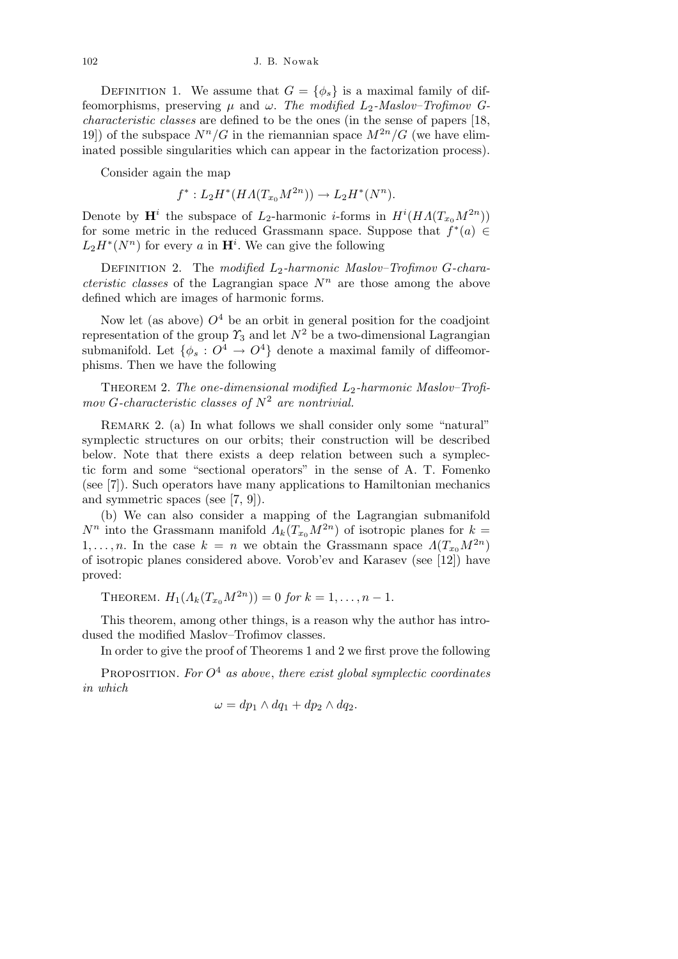DEFINITION 1. We assume that  $G = {\phi_s}$  is a maximal family of diffeomorphisms, preserving  $\mu$  and  $\omega$ . The modified  $L_2$ -Maslov–Trofimov G*characteristic classes* are defined to be the ones (in the sense of papers [18, 19) of the subspace  $N^n/G$  in the riemannian space  $M^{2n}/G$  (we have eliminated possible singularities which can appear in the factorization process).

Consider again the map

$$
f^*: L_2H^*(HA(T_{x_0}M^{2n})) \to L_2H^*(N^n).
$$

Denote by  $\mathbf{H}^i$  the subspace of *L*<sub>2</sub>-harmonic *i*-forms in  $H^i(HA(T_{x_0}M^{2n}))$ for some metric in the reduced Grassmann space. Suppose that  $f^*(a) \in$  $L_2H^*(N^n)$  for every *a* in  $\mathbf{H}^i$ . We can give the following

DEFINITION 2. The *modified*  $L_2$ -harmonic Maslov–Trofimov *G*-chara*cteristic classes* of the Lagrangian space  $N^n$  are those among the above defined which are images of harmonic forms.

Now let (as above)  $O^4$  be an orbit in general position for the coadjoint representation of the group  $\gamma_3$  and let  $N^2$  be a two-dimensional Lagrangian submanifold. Let  $\{\phi_s : O^4 \to O^4\}$  denote a maximal family of diffeomorphisms. Then we have the following

Theorem 2. *The one-dimensional modified L*2*-harmonic Maslov–Trofimov G-characteristic classes of N*<sup>2</sup> *are nontrivial.*

REMARK 2. (a) In what follows we shall consider only some "natural" symplectic structures on our orbits; their construction will be described below. Note that there exists a deep relation between such a symplectic form and some "sectional operators" in the sense of A. T. Fomenko (see [7]). Such operators have many applications to Hamiltonian mechanics and symmetric spaces (see [7, 9]).

(b) We can also consider a mapping of the Lagrangian submanifold *N<sup>n</sup>* into the Grassmann manifold  $\Lambda_k(T_{x_0}M^{2n})$  of isotropic planes for  $k=$ 1,..., *n*. In the case  $k = n$  we obtain the Grassmann space  $\Lambda(T_{x_0}M^{2n})$ of isotropic planes considered above. Vorob'ev and Karasev (see [12]) have proved:

THEOREM.  $H_1(A_k(T_{x_0}M^{2n})) = 0$  *for*  $k = 1, \ldots, n-1$ .

This theorem, among other things, is a reason why the author has introdused the modified Maslov–Trofimov classes.

In order to give the proof of Theorems 1 and 2 we first prove the following

Proposition. *For O*<sup>4</sup> *as above*, *there exist global symplectic coordinates in which*

$$
\omega = dp_1 \wedge dq_1 + dp_2 \wedge dq_2.
$$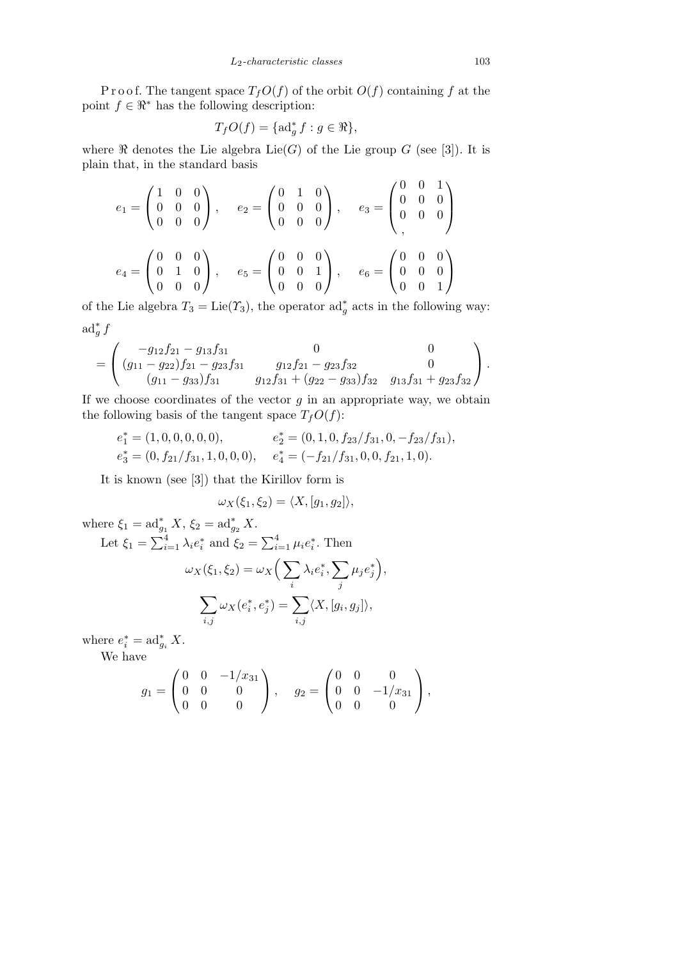P r o o f. The tangent space  $T_fO(f)$  of the orbit  $O(f)$  containing  $f$  at the point  $f \in \mathbb{R}^*$  has the following description:

$$
T_f O(f) = \{ \mathrm{ad}_g^* f : g \in \Re \},
$$

where  $\Re$  denotes the Lie algebra Lie(*G*) of the Lie group *G* (see [3]). It is plain that, in the standard basis

$$
e_1 = \begin{pmatrix} 1 & 0 & 0 \\ 0 & 0 & 0 \\ 0 & 0 & 0 \end{pmatrix}, \quad e_2 = \begin{pmatrix} 0 & 1 & 0 \\ 0 & 0 & 0 \\ 0 & 0 & 0 \end{pmatrix}, \quad e_3 = \begin{pmatrix} 0 & 0 & 1 \\ 0 & 0 & 0 \\ 0 & 0 & 0 \end{pmatrix}
$$

$$
e_4 = \begin{pmatrix} 0 & 0 & 0 \\ 0 & 1 & 0 \\ 0 & 0 & 0 \end{pmatrix}, \quad e_5 = \begin{pmatrix} 0 & 0 & 0 \\ 0 & 0 & 1 \\ 0 & 0 & 0 \end{pmatrix}, \quad e_6 = \begin{pmatrix} 0 & 0 & 0 \\ 0 & 0 & 0 \\ 0 & 0 & 1 \end{pmatrix}
$$

of the Lie algebra  $T_3 = \text{Lie}(\Upsilon_3)$ , the operator  $\text{ad}^*_g$  acts in the following way:  $ad^*_g f$ 

$$
= \begin{pmatrix} -g_{12}f_{21} - g_{13}f_{31} & 0 & 0 \\ (g_{11} - g_{22})f_{21} - g_{23}f_{31} & g_{12}f_{21} - g_{23}f_{32} & 0 \\ (g_{11} - g_{33})f_{31} & g_{12}f_{31} + (g_{22} - g_{33})f_{32} & g_{13}f_{31} + g_{23}f_{32} \end{pmatrix}.
$$

If we choose coordinates of the vector  $g$  in an appropriate way, we obtain the following basis of the tangent space  $T_fO(f)$ :

$$
e_1^* = (1, 0, 0, 0, 0, 0), \t e_2^* = (0, 1, 0, f_{23}/f_{31}, 0, -f_{23}/f_{31}),
$$
  
\n
$$
e_3^* = (0, f_{21}/f_{31}, 1, 0, 0, 0), \t e_4^* = (-f_{21}/f_{31}, 0, 0, f_{21}, 1, 0).
$$

It is known (see [3]) that the Kirillov form is

$$
\omega_X(\xi_1,\xi_2)=\langle X,[g_1,g_2]\rangle,
$$

where  $\xi_1 = \mathrm{ad}_{g_1}^* X$ ,  $\xi_2 = \mathrm{ad}_{g_2}^* X$ . Let  $\xi_1 = \sum_{i=1}^{4}$ *i*<sub> $i=1$ </sub>  $\lambda_i e_i^*$  and  $\xi_2 = \sum_{i=1}^4$  $\mu_i e_i^*$ . Then  $\omega_X(\xi_1, \xi_2) = \omega_X$  $\sqrt{ }$ *i*  $λ<sub>i</sub>e<sup>*</sup><sub>i</sub>$ ,  $\overline{\phantom{a}}$ *j*  $\mu_j e_j^*$  $\mathbf{r}$ *,*  $\overline{\phantom{a}}$ *i,j*  $\omega_X(e_i^\ast, e_j^\ast) = \sum_i$ *i,j*  $\langle X,[g_i,g_j] \rangle$ 

where  $e_i^* = \mathrm{ad}_{g_i}^* X$ .

We have

$$
g_1 = \begin{pmatrix} 0 & 0 & -1/x_{31} \\ 0 & 0 & 0 \\ 0 & 0 & 0 \end{pmatrix}, \quad g_2 = \begin{pmatrix} 0 & 0 & 0 \\ 0 & 0 & -1/x_{31} \\ 0 & 0 & 0 \end{pmatrix},
$$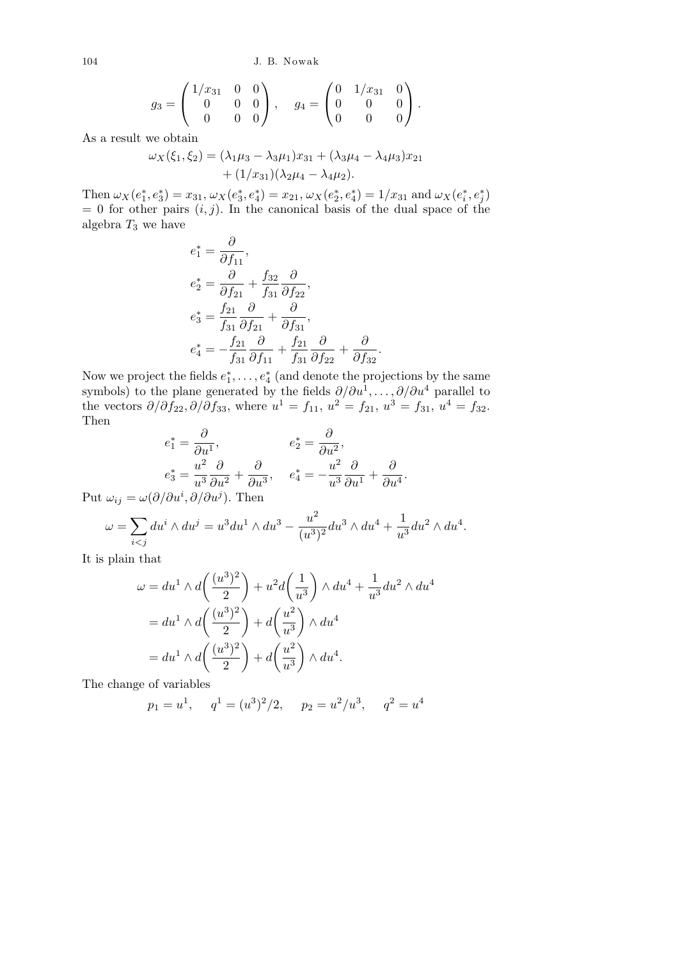104 J. B. Nowak

$$
g_3 = \begin{pmatrix} 1/x_{31} & 0 & 0 \\ 0 & 0 & 0 \\ 0 & 0 & 0 \end{pmatrix}, \quad g_4 = \begin{pmatrix} 0 & 1/x_{31} & 0 \\ 0 & 0 & 0 \\ 0 & 0 & 0 \end{pmatrix}.
$$

As a result we obtain

$$
\omega_X(\xi_1, \xi_2) = (\lambda_1 \mu_3 - \lambda_3 \mu_1) x_{31} + (\lambda_3 \mu_4 - \lambda_4 \mu_3) x_{21} + (1/x_{31})(\lambda_2 \mu_4 - \lambda_4 \mu_2).
$$

Then  $\omega_X(e_1^*, e_3^*) = x_{31}, \omega_X(e_3^*, e_4^*) = x_{21}, \omega_X(e_2^*, e_4^*) = 1/x_{31}$  and  $\omega_X(e_i^*, e_j^*)$  $= 0$  for other pairs  $(i, j)$ . In the canonical basis of the dual space of the algebra *T*<sup>3</sup> we have

$$
e_1^* = \frac{\partial}{\partial f_{11}},
$$
  
\n
$$
e_2^* = \frac{\partial}{\partial f_{21}} + \frac{f_{32}}{f_{31}} \frac{\partial}{\partial f_{22}},
$$
  
\n
$$
e_3^* = \frac{f_{21}}{f_{31}} \frac{\partial}{\partial f_{21}} + \frac{\partial}{\partial f_{31}},
$$
  
\n
$$
e_4^* = -\frac{f_{21}}{f_{31}} \frac{\partial}{\partial f_{11}} + \frac{f_{21}}{f_{31}} \frac{\partial}{\partial f_{22}} + \frac{\partial}{\partial f_{32}}.
$$

Now we project the fields  $e_1^*, \ldots, e_4^*$  (and denote the projections by the same symbols) to the plane generated by the fields  $\partial/\partial u^1, \ldots, \partial/\partial u^4$  parallel to the vectors  $\partial/\partial f_{22}, \partial/\partial f_{33}$ , where  $u^1 = f_{11}, u^2 = f_{21}, u^3 = f_{31}, u^4 = f_{32}$ . Then

$$
e_1^* = \frac{\partial}{\partial u^1}, \qquad e_2^* = \frac{\partial}{\partial u^2},
$$
  
\n
$$
e_3^* = \frac{u^2}{u^3} \frac{\partial}{\partial u^2} + \frac{\partial}{\partial u^3}, \qquad e_4^* = -\frac{u^2}{u^3} \frac{\partial}{\partial u^1} + \frac{\partial}{\partial u^4}.
$$

Put  $\omega_{ij} = \omega(\partial/\partial u^i, \partial/\partial u^j)$ . Then

$$
\omega = \sum_{i < j} du^i \wedge du^j = u^3 du^1 \wedge du^3 - \frac{u^2}{(u^3)^2} du^3 \wedge du^4 + \frac{1}{u^3} du^2 \wedge du^4.
$$

It is plain that

$$
\omega = du^1 \wedge d\left(\frac{(u^3)^2}{2}\right) + u^2 d\left(\frac{1}{u^3}\right) \wedge du^4 + \frac{1}{u^3} du^2 \wedge du^4
$$

$$
= du^1 \wedge d\left(\frac{(u^3)^2}{2}\right) + d\left(\frac{u^2}{u^3}\right) \wedge du^4
$$

$$
= du^1 \wedge d\left(\frac{(u^3)^2}{2}\right) + d\left(\frac{u^2}{u^3}\right) \wedge du^4.
$$

The change of variables

$$
p_1 = u^1
$$
,  $q^1 = (u^3)^2/2$ ,  $p_2 = u^2/u^3$ ,  $q^2 = u^4$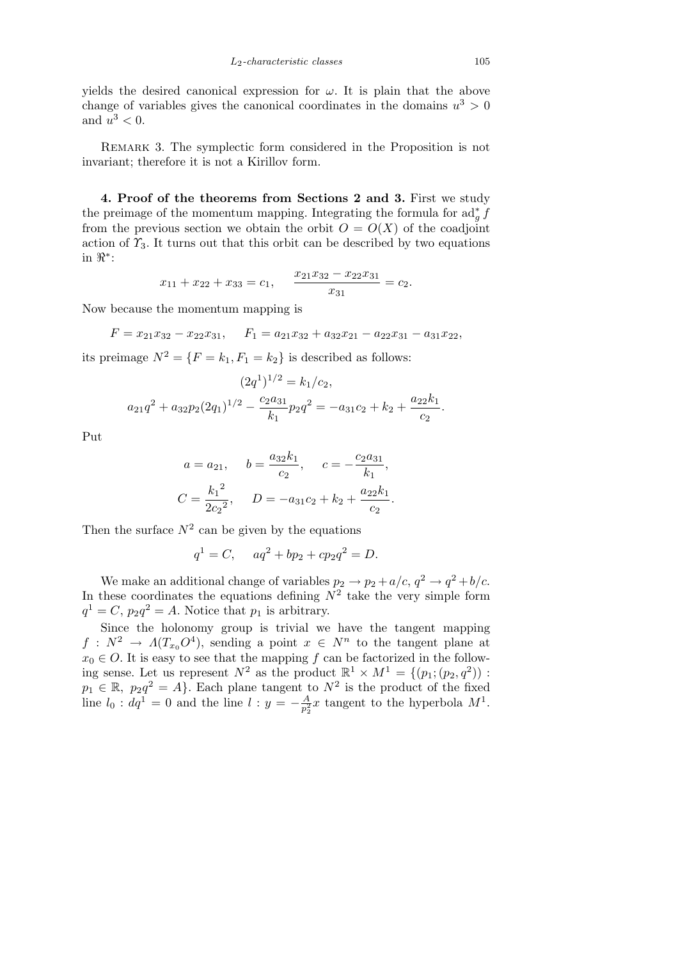yields the desired canonical expression for  $\omega$ . It is plain that the above change of variables gives the canonical coordinates in the domains  $u^3 > 0$ and  $u^3 < 0$ .

Remark 3. The symplectic form considered in the Proposition is not invariant; therefore it is not a Kirillov form.

**4. Proof of the theorems from Sections 2 and 3.** First we study the preimage of the momentum mapping. Integrating the formula for  $\mathrm{ad}_g^* \tilde{f}$ from the previous section we obtain the orbit  $O = O(X)$  of the coadjoint action of  $\gamma_3$ . It turns out that this orbit can be described by two equations in *< ∗* :

$$
x_{11} + x_{22} + x_{33} = c_1
$$
,  $\frac{x_{21}x_{32} - x_{22}x_{31}}{x_{31}} = c_2$ .

Now because the momentum mapping is

 $F = x_{21}x_{32} - x_{22}x_{31}$ ,  $F_1 = a_{21}x_{32} + a_{32}x_{21} - a_{22}x_{31} - a_{31}x_{22}$ ,

its preimage  $N^2 = \{F = k_1, F_1 = k_2\}$  is described as follows:

$$
(2q1)1/2 = k1/c2,
$$
  

$$
a21q2 + a32p2(2q1)1/2 - \frac{c2a31}{k1}p2q2 = -a31c2 + k2 + \frac{a22k1}{c2}.
$$

Put

$$
a = a_{21}
$$
,  $b = \frac{a_{32}k_1}{c_2}$ ,  $c = -\frac{c_2a_{31}}{k_1}$ ,  
 $C = \frac{k_1^2}{2c_2^2}$ ,  $D = -a_{31}c_2 + k_2 + \frac{a_{22}k_1}{c_2}$ .

Then the surface  $N^2$  can be given by the equations

$$
q1 = C
$$
,  $aq2 + bp2 + cp2q2 = D$ .

We make an additional change of variables  $p_2 \rightarrow p_2 + a/c$ ,  $q^2 \rightarrow q^2 + b/c$ . In these coordinates the equations defining  $N^2$  take the very simple form  $q^1 = C$ ,  $p_2 q^2 = A$ . Notice that  $p_1$  is arbitrary.

Since the holonomy group is trivial we have the tangent mapping  $f: N^2 \to \Lambda(T_{x_0}O^4)$ , sending a point  $x \in N^n$  to the tangent plane at  $x_0 \in O$ . It is easy to see that the mapping *f* can be factorized in the following sense. Let us represent  $N^2$  as the product  $\mathbb{R}^1 \times M^1 = \{(p_1; (p_2, q^2)) :$  $p_1 \in \mathbb{R}, p_2 q^2 = A$ . Each plane tangent to  $N^2$  is the product of the fixed line  $l_0 : dq^1 = 0$  and the line  $l : y = -\frac{A}{n^2}$  $\frac{A}{p_2^2}x$  tangent to the hyperbola  $M^1$ .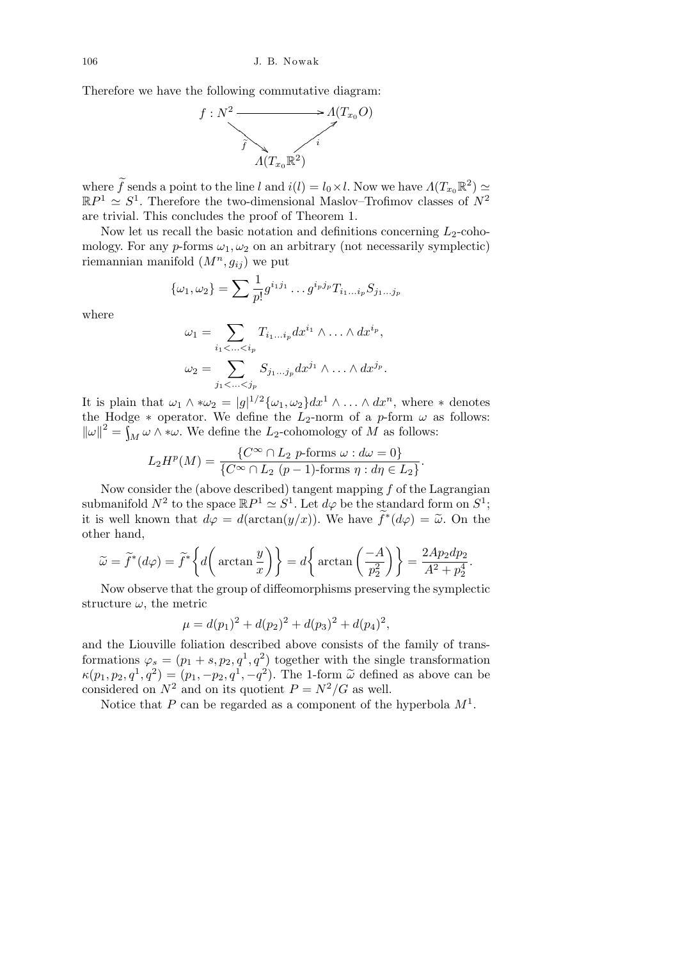Therefore we have the following commutative diagram:



where  $\widetilde{f}$  sends a point to the line *l* and  $i(l) = l_0 \times l$ . Now we have  $\Lambda(T_{x_0} \mathbb{R}^2) \simeq$  $\mathbb{R}P^1 \simeq S^1$ . Therefore the two-dimensional Maslov–Trofimov classes of  $N^2$ are trivial. This concludes the proof of Theorem 1.

Now let us recall the basic notation and definitions concerning  $L_2$ -cohomology. For any  $p$ -forms  $\omega_1, \omega_2$  on an arbitrary (not necessarily symplectic) riemannian manifold  $(M^n, g_{ij})$  we put

$$
\{\omega_1, \omega_2\} = \sum_{p} \frac{1}{p!} g^{i_1 j_1} \dots g^{i_p j_p} T_{i_1 \dots i_p} S_{j_1 \dots j_p}
$$

where

$$
\omega_1 = \sum_{i_1 < \ldots < i_p} T_{i_1 \ldots i_p} dx^{i_1} \wedge \ldots \wedge dx^{i_p},
$$
\n
$$
\omega_2 = \sum_{j_1 < \ldots < j_p} S_{j_1 \ldots j_p} dx^{j_1} \wedge \ldots \wedge dx^{j_p}.
$$

It is plain that  $\omega_1 \wedge * \omega_2 = |g|^{1/2} {\{\omega_1, \omega_2\}} dx^1 \wedge \ldots \wedge dx^n$ , where  $*$  denotes the Hodge  $*$  operator. We define the  $L_2$ -norm of a *p*-form  $\omega$  as follows:  $\left\|\omega\right\|^2 = \int_M \omega \wedge \omega$ . We define the *L*<sub>2</sub>-cohomology of *M* as follows:

$$
L_2H^p(M) = \frac{\{C^\infty \cap L_2 \text{ } p\text{-forms } \omega : d\omega = 0\}}{\{C^\infty \cap L_2 \text{ } (p-1)\text{-forms } \eta : d\eta \in L_2\}}
$$

*.*

Now consider the (above described) tangent mapping *f* of the Lagrangian submanifold  $N^2$  to the space  $\mathbb{R}P^1 \simeq S^1$ . Let  $d\varphi$  be the standard form on  $S^1$ ; it is well known that  $d\varphi = d(\arctan(y/x))$ . We have  $\tilde{f}^*(d\varphi) = \tilde{\omega}$ . On the other hand,

$$
\widetilde{\omega} = \widetilde{f}^*(d\varphi) = \widetilde{f}^*\left\{d\left(\arctan\frac{y}{x}\right)\right\} = d\left\{\arctan\left(\frac{-A}{p_2^2}\right)\right\} = \frac{2Ap_2dp_2}{A^2 + p_2^4}.
$$

Now observe that the group of diffeomorphisms preserving the symplectic structure  $\omega$ , the metric

$$
\mu = d(p_1)^2 + d(p_2)^2 + d(p_3)^2 + d(p_4)^2,
$$

and the Liouville foliation described above consists of the family of transformations  $\varphi_s = (p_1 + s, p_2, q^1, q^2)$  together with the single transformation  $\kappa(p_1, p_2, q^1, q^2) = (p_1, -p_2, q^1, -q^2)$ . The 1-form  $\tilde{\omega}$  defined as above can be considered on  $N^2$  and on its quotient  $P = N^2/G$  as well.

Notice that *P* can be regarded as a component of the hyperbola *M*<sup>1</sup> .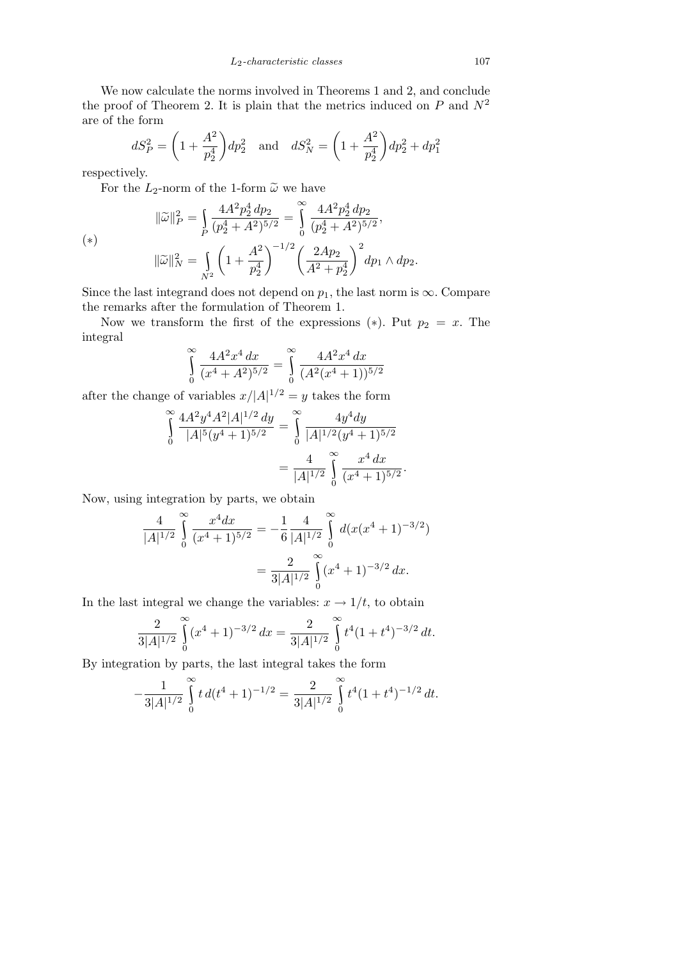We now calculate the norms involved in Theorems 1 and 2, and conclude the proof of Theorem 2. It is plain that the metrics induced on  $P$  and  $N^2$ are of the form

$$
dS_P^2 = \left(1 + \frac{A^2}{p_2^4}\right)dp_2^2 \quad \text{and} \quad dS_N^2 = \left(1 + \frac{A^2}{p_2^4}\right)dp_2^2 + dp_1^2
$$

respectively.

For the  $L_2$ -norm of the 1-form  $\tilde{\omega}$  we have

$$
\|\widetilde{\omega}\|_{P}^{2} = \int_{P} \frac{4A^{2}p_{2}^{4} dp_{2}}{(p_{2}^{4} + A^{2})^{5/2}} = \int_{0}^{\infty} \frac{4A^{2}p_{2}^{4} dp_{2}}{(p_{2}^{4} + A^{2})^{5/2}},
$$

$$
\|\widetilde{\omega}\|_{N}^{2} = \int_{N^{2}} \left(1 + \frac{A^{2}}{p_{2}^{4}}\right)^{-1/2} \left(\frac{2Ap_{2}}{A^{2} + p_{2}^{4}}\right)^{2} dp_{1} \wedge dp_{2}.
$$

Since the last integrand does not depend on  $p_1$ , the last norm is  $\infty$ *.* Compare the remarks after the formulation of Theorem 1.

Now we transform the first of the expressions  $(*)$ . Put  $p_2 = x$ . The integral

$$
\int_{0}^{\infty} \frac{4A^2x^4 dx}{(x^4 + A^2)^{5/2}} = \int_{0}^{\infty} \frac{4A^2x^4 dx}{(A^2(x^4 + 1))^{5/2}}
$$

after the change of variables  $x/|A|^{1/2} = y$  takes the form

$$
\int_{0}^{\infty} \frac{4A^2 y^4 A^2 |A|^{1/2} dy}{|A|^5 (y^4 + 1)^{5/2}} = \int_{0}^{\infty} \frac{4y^4 dy}{|A|^{1/2} (y^4 + 1)^{5/2}}
$$

$$
= \frac{4}{|A|^{1/2}} \int_{0}^{\infty} \frac{x^4 dx}{(x^4 + 1)^{5/2}}.
$$

Now, using integration by parts, we obtain

$$
\frac{4}{|A|^{1/2}} \int_{0}^{\infty} \frac{x^4 dx}{(x^4 + 1)^{5/2}} = -\frac{1}{6} \frac{4}{|A|^{1/2}} \int_{0}^{\infty} d(x(x^4 + 1)^{-3/2})
$$

$$
= \frac{2}{3|A|^{1/2}} \int_{0}^{\infty} (x^4 + 1)^{-3/2} dx.
$$

In the last integral we change the variables:  $x \to 1/t$ , to obtain

$$
\frac{2}{3|A|^{1/2}}\int_{0}^{\infty}(x^4+1)^{-3/2}dx = \frac{2}{3|A|^{1/2}}\int_{0}^{\infty}t^4(1+t^4)^{-3/2}dt.
$$

By integration by parts, the last integral takes the form

$$
-\frac{1}{3|A|^{1/2}}\int_{0}^{\infty}t\,d(t^4+1)^{-1/2}=\frac{2}{3|A|^{1/2}}\int_{0}^{\infty}t^4(1+t^4)^{-1/2}\,dt.
$$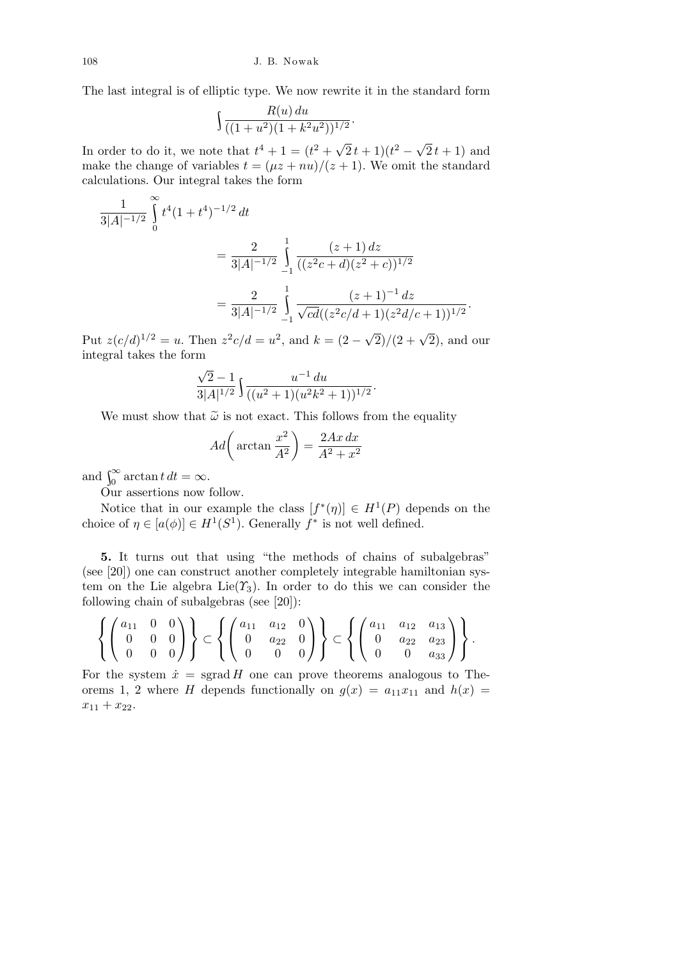The last integral is of elliptic type. We now rewrite it in the standard form

$$
\int \frac{R(u) du}{((1+u^2)(1+k^2u^2))^{1/2}}.
$$

In order to do it, we note that  $t^4 + 1 = (t^2 + \sqrt{t^2 + 1})$  $\sqrt{2}t+1(t^2-\sqrt{2})$  $2t+1$ ) and make the change of variables  $t = (\mu z + nu)/(z + 1)$ . We omit the standard calculations. Our integral takes the form

$$
\frac{1}{3|A|^{-1/2}} \int_{0}^{\infty} t^{4} (1+t^{4})^{-1/2} dt
$$
  
= 
$$
\frac{2}{3|A|^{-1/2}} \int_{-1}^{1} \frac{(z+1) dz}{((z^{2}c+d)(z^{2}+c))^{1/2}}
$$
  
= 
$$
\frac{2}{3|A|^{-1/2}} \int_{-1}^{1} \frac{(z+1)^{-1} dz}{\sqrt{cd}((z^{2}c/d+1)(z^{2}d/c+1))^{1/2}}.
$$

Put  $z(c/d)^{1/2} = u$ . Then  $z^2c/d = u^2$ , and  $k = (2 \sqrt{2}$ / $(2 + \sqrt{2})$ , and our integral takes the form

$$
\frac{\sqrt{2}-1}{3|A|^{1/2}}\int \frac{u^{-1} du}{((u^2+1)(u^2k^2+1))^{1/2}}.
$$

We must show that  $\tilde{\omega}$  is not exact. This follows from the equality

$$
Ad\bigg(\arctan\frac{x^2}{A^2}\bigg) = \frac{2Ax\,dx}{A^2 + x^2}
$$

and  $\int_0^\infty \arctan t \, dt = \infty$ .

Our assertions now follow.

Notice that in our example the class  $[f^*(\eta)] \in H^1(P)$  depends on the choice of  $\eta \in [a(\phi)] \in H^1(S^1)$ . Generally  $f^*$  is not well defined.

**5.** It turns out that using "the methods of chains of subalgebras" (see [20]) one can construct another completely integrable hamiltonian system on the Lie algebra Lie( $\gamma_3$ ). In order to do this we can consider the following chain of subalgebras (see [20]):

$$
\left\{ \begin{pmatrix} a_{11} & 0 & 0 \\ 0 & 0 & 0 \\ 0 & 0 & 0 \end{pmatrix} \right\} \subset \left\{ \begin{pmatrix} a_{11} & a_{12} & 0 \\ 0 & a_{22} & 0 \\ 0 & 0 & 0 \end{pmatrix} \right\} \subset \left\{ \begin{pmatrix} a_{11} & a_{12} & a_{13} \\ 0 & a_{22} & a_{23} \\ 0 & 0 & a_{33} \end{pmatrix} \right\}.
$$

For the system  $\dot{x}$  = sgrad *H* one can prove theorems analogous to Theorems 1, 2 where *H* depends functionally on  $g(x) = a_{11}x_{11}$  and  $h(x) =$  $x_{11} + x_{22}.$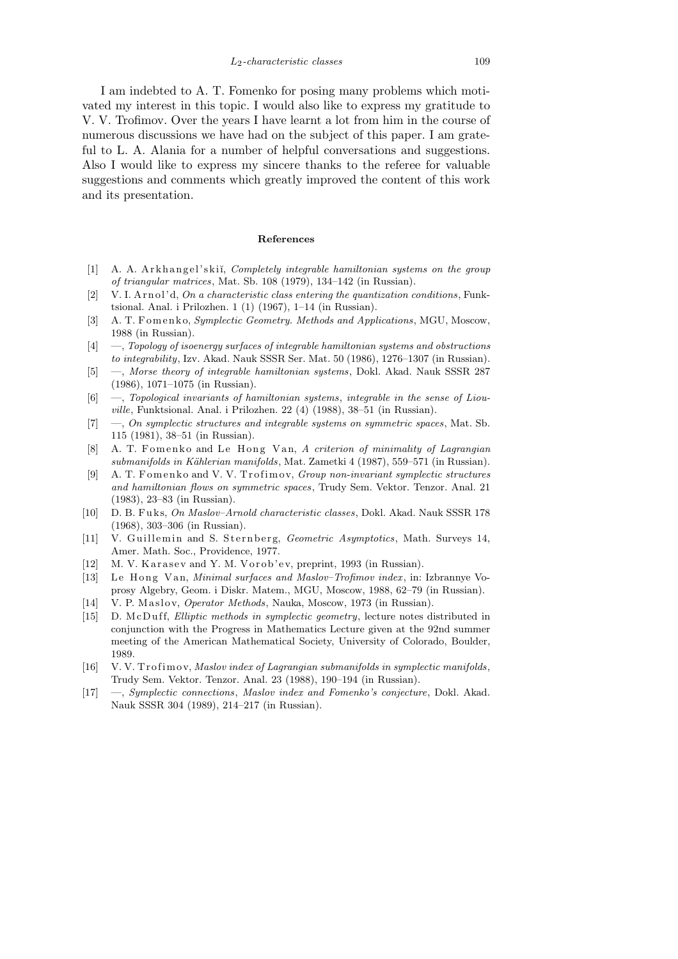*L*2*-characteristic classes* 109

I am indebted to A. T. Fomenko for posing many problems which motivated my interest in this topic. I would also like to express my gratitude to V. V. Trofimov. Over the years I have learnt a lot from him in the course of numerous discussions we have had on the subject of this paper. I am grateful to L. A. Alania for a number of helpful conversations and suggestions. Also I would like to express my sincere thanks to the referee for valuable suggestions and comments which greatly improved the content of this work and its presentation.

## **References**

- [1] A. A. Arkhangel'skiĭ, *Completely integrable hamiltonian systems on the group of triangular matrices*, Mat. Sb. 108 (1979), 134–142 (in Russian).
- [2] V. I. A r n ol' d, *On a characteristic class entering the quantization conditions*, Funktsional. Anal. i Prilozhen. 1 (1) (1967), 1–14 (in Russian).
- [3] A. T. Fomenko, *Symplectic Geometry. Methods and Applications*, MGU, Moscow, 1988 (in Russian).
- [4] —, *Topology of isoenergy surfaces of integrable hamiltonian systems and obstructions to integrability*, Izv. Akad. Nauk SSSR Ser. Mat. 50 (1986), 1276–1307 (in Russian).
- [5] —, *Morse theory of integrable hamiltonian systems*, Dokl. Akad. Nauk SSSR 287 (1986), 1071–1075 (in Russian).
- [6] —, *Topological invariants of hamiltonian systems*, *integrable in the sense of Liouville*, Funktsional. Anal. i Prilozhen. 22 (4) (1988), 38–51 (in Russian).
- [7] —, *On symplectic structures and integrable systems on symmetric spaces*, Mat. Sb. 115 (1981), 38–51 (in Russian).
- [8] A. T. Fomenko and Le Hong Van, *A criterion of minimality of Lagrangian submanifolds in K¨ahlerian manifolds*, Mat. Zametki 4 (1987), 559–571 (in Russian).
- [9] A. T. Fomenko and V. V. Trofimov, *Group non-invariant symplectic structures and hamiltonian flows on symmetric spaces*, Trudy Sem. Vektor. Tenzor. Anal. 21 (1983), 23–83 (in Russian).
- [10] D. B. F u k s, *On Maslov–Arnold characteristic classes*, Dokl. Akad. Nauk SSSR 178 (1968), 303–306 (in Russian).
- [11] V. Guillemin and S. Sternberg, *Geometric Asymptotics*, Math. Surveys 14, Amer. Math. Soc., Providence, 1977.
- [12] M. V. Karasev and Y. M. Vorob'ev, preprint, 1993 (in Russian).
- [13] Le Hong Van, *Minimal surfaces and Maslov–Trofimov index*, in: Izbrannye Voprosy Algebry, Geom. i Diskr. Matem., MGU, Moscow, 1988, 62–79 (in Russian).
- [14] V. P. Maslov, *Operator Methods*, Nauka, Moscow, 1973 (in Russian).
- [15] D. McDuff, *Elliptic methods in symplectic geometry*, lecture notes distributed in conjunction with the Progress in Mathematics Lecture given at the 92nd summer meeting of the American Mathematical Society, University of Colorado, Boulder, 1989.
- [16] V. V. Trofimov, *Maslov index of Lagrangian submanifolds in symplectic manifolds*, Trudy Sem. Vektor. Tenzor. Anal. 23 (1988), 190–194 (in Russian).
- [17] —, *Symplectic connections*, *Maslov index and Fomenko's conjecture*, Dokl. Akad. Nauk SSSR 304 (1989), 214–217 (in Russian).